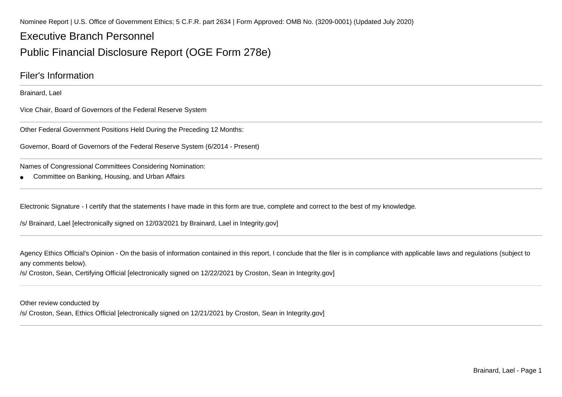Nominee Report | U.S. Office of Government Ethics; 5 C.F.R. part 2634 | Form Approved: OMB No. (3209-0001) (Updated July 2020)

# Executive Branch Personnel

# Public Financial Disclosure Report (OGE Form 278e)

### Filer's Information

Brainard, Lael

Vice Chair, Board of Governors of the Federal Reserve System

Other Federal Government Positions Held During the Preceding 12 Months:

Governor, Board of Governors of the Federal Reserve System (6/2014 - Present)

Names of Congressional Committees Considering Nomination:

●Committee on Banking, Housing, and Urban Affairs

Electronic Signature - I certify that the statements I have made in this form are true, complete and correct to the best of my knowledge.

/s/ Brainard, Lael [electronically signed on 12/03/2021 by Brainard, Lael in Integrity.gov]

Agency Ethics Official's Opinion - On the basis of information contained in this report, I conclude that the filer is in compliance with applicable laws and regulations (subject toany comments below).

/s/ Croston, Sean, Certifying Official [electronically signed on 12/22/2021 by Croston, Sean in Integrity.gov]

Other review conducted by

/s/ Croston, Sean, Ethics Official [electronically signed on 12/21/2021 by Croston, Sean in Integrity.gov]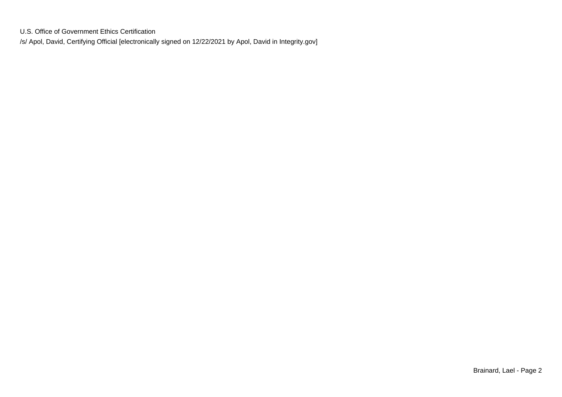U.S. Office of Government Ethics Certification/s/ Apol, David, Certifying Official [electronically signed on 12/22/2021 by Apol, David in Integrity.gov]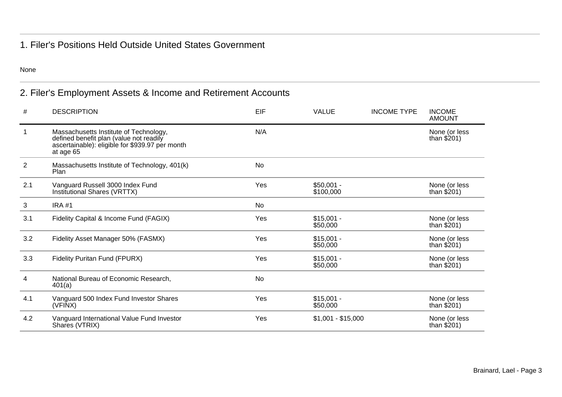### 1. Filer's Positions Held Outside United States Government

None

## 2. Filer's Employment Assets & Income and Retirement Accounts

| #              | <b>DESCRIPTION</b>                                                                                                                                | EIF       | <b>VALUE</b>             | <b>INCOME TYPE</b> | <b>INCOME</b><br><b>AMOUNT</b> |
|----------------|---------------------------------------------------------------------------------------------------------------------------------------------------|-----------|--------------------------|--------------------|--------------------------------|
|                | Massachusetts Institute of Technology,<br>defined benefit plan (value not readily<br>ascertainable): eligible for \$939.97 per month<br>at age 65 | N/A       |                          |                    | None (or less<br>than $$201)$  |
| $\overline{2}$ | Massachusetts Institute of Technology, 401(k)<br>Plan                                                                                             | <b>No</b> |                          |                    |                                |
| 2.1            | Vanguard Russell 3000 Index Fund<br>Institutional Shares (VRTTX)                                                                                  | Yes       | $$50,001 -$<br>\$100,000 |                    | None (or less<br>than $$201)$  |
| 3              | <b>IRA #1</b>                                                                                                                                     | No        |                          |                    |                                |
| 3.1            | Fidelity Capital & Income Fund (FAGIX)                                                                                                            | Yes       | $$15,001 -$<br>\$50,000  |                    | None (or less<br>than $$201)$  |
| 3.2            | Fidelity Asset Manager 50% (FASMX)                                                                                                                | Yes       | $$15,001 -$<br>\$50,000  |                    | None (or less<br>than $$201)$  |
| 3.3            | <b>Fidelity Puritan Fund (FPURX)</b>                                                                                                              | Yes       | $$15,001 -$<br>\$50,000  |                    | None (or less<br>than $$201)$  |
| 4              | National Bureau of Economic Research,<br>401(a)                                                                                                   | <b>No</b> |                          |                    |                                |
| 4.1            | Vanguard 500 Index Fund Investor Shares<br>(VFINX)                                                                                                | Yes       | $$15,001 -$<br>\$50,000  |                    | None (or less<br>than $$201)$  |
| 4.2            | Vanguard International Value Fund Investor<br>Shares (VTRIX)                                                                                      | Yes       | $$1,001 - $15,000$       |                    | None (or less<br>than $$201)$  |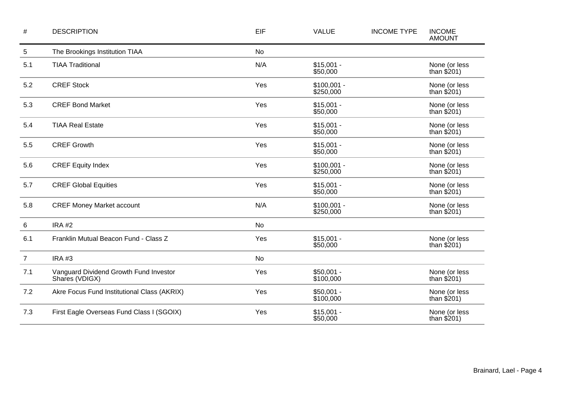| $\#$           | <b>DESCRIPTION</b>                                       | EIF       | <b>VALUE</b>              | <b>INCOME TYPE</b> | <b>INCOME</b><br><b>AMOUNT</b> |
|----------------|----------------------------------------------------------|-----------|---------------------------|--------------------|--------------------------------|
| $\sqrt{5}$     | The Brookings Institution TIAA                           | <b>No</b> |                           |                    |                                |
| 5.1            | <b>TIAA Traditional</b>                                  | N/A       | $$15,001 -$<br>\$50,000   |                    | None (or less<br>than $$201)$  |
| 5.2            | <b>CREF Stock</b>                                        | Yes       | $$100,001 -$<br>\$250,000 |                    | None (or less<br>than $$201)$  |
| 5.3            | <b>CREF Bond Market</b>                                  | Yes       | $$15,001 -$<br>\$50,000   |                    | None (or less<br>than $$201)$  |
| 5.4            | <b>TIAA Real Estate</b>                                  | Yes       | $$15,001 -$<br>\$50,000   |                    | None (or less<br>than $$201)$  |
| 5.5            | <b>CREF Growth</b>                                       | Yes       | $$15,001 -$<br>\$50,000   |                    | None (or less<br>than $$201)$  |
| 5.6            | <b>CREF Equity Index</b>                                 | Yes       | $$100,001 -$<br>\$250,000 |                    | None (or less<br>than $$201)$  |
| 5.7            | <b>CREF Global Equities</b>                              | Yes       | $$15,001 -$<br>\$50,000   |                    | None (or less<br>than $$201)$  |
| 5.8            | <b>CREF Money Market account</b>                         | N/A       | $$100,001 -$<br>\$250,000 |                    | None (or less<br>than $$201)$  |
| 6              | <b>IRA #2</b>                                            | <b>No</b> |                           |                    |                                |
| 6.1            | Franklin Mutual Beacon Fund - Class Z                    | Yes       | $$15,001 -$<br>\$50,000   |                    | None (or less<br>than $$201)$  |
| $\overline{7}$ | <b>IRA #3</b>                                            | No        |                           |                    |                                |
| 7.1            | Vanguard Dividend Growth Fund Investor<br>Shares (VDIGX) | Yes       | $$50,001 -$<br>\$100,000  |                    | None (or less<br>than $$201)$  |
| 7.2            | Akre Focus Fund Institutional Class (AKRIX)              | Yes       | $$50,001 -$<br>\$100,000  |                    | None (or less<br>than $$201)$  |
| 7.3            | First Eagle Overseas Fund Class I (SGOIX)                | Yes       | $$15,001 -$<br>\$50,000   |                    | None (or less<br>than $$201)$  |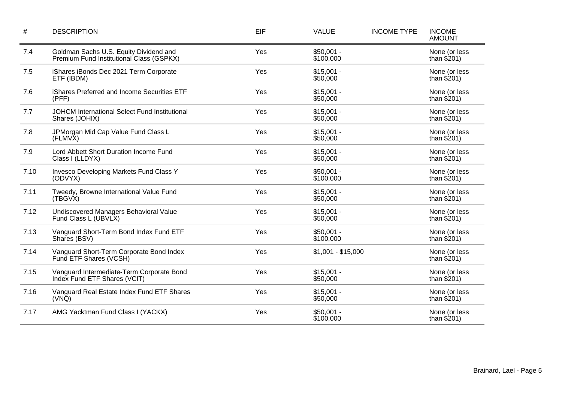| $\#$ | <b>DESCRIPTION</b>                                                                 | EIF | <b>VALUE</b>             | <b>INCOME TYPE</b> | <b>INCOME</b><br><b>AMOUNT</b> |
|------|------------------------------------------------------------------------------------|-----|--------------------------|--------------------|--------------------------------|
| 7.4  | Goldman Sachs U.S. Equity Dividend and<br>Premium Fund Institutional Class (GSPKX) | Yes | $$50,001 -$<br>\$100,000 |                    | None (or less<br>than $$201)$  |
| 7.5  | iShares iBonds Dec 2021 Term Corporate<br>ETF (IBDM)                               | Yes | $$15,001 -$<br>\$50,000  |                    | None (or less<br>than $$201)$  |
| 7.6  | iShares Preferred and Income Securities ETF<br>(PFF)                               | Yes | $$15,001 -$<br>\$50,000  |                    | None (or less<br>than $$201)$  |
| 7.7  | <b>JOHCM International Select Fund Institutional</b><br>Shares (JOHIX)             | Yes | $$15,001 -$<br>\$50,000  |                    | None (or less<br>than $$201)$  |
| 7.8  | JPMorgan Mid Cap Value Fund Class L<br>(FLMVX)                                     | Yes | $$15,001 -$<br>\$50,000  |                    | None (or less<br>than $$201)$  |
| 7.9  | Lord Abbett Short Duration Income Fund<br>Class I (LLDYX)                          | Yes | $$15,001 -$<br>\$50,000  |                    | None (or less<br>than $$201)$  |
| 7.10 | Invesco Developing Markets Fund Class Y<br>(ODVYX)                                 | Yes | $$50,001 -$<br>\$100,000 |                    | None (or less<br>than $$201)$  |
| 7.11 | Tweedy, Browne International Value Fund<br>(TBGVX)                                 | Yes | $$15,001 -$<br>\$50,000  |                    | None (or less<br>than $$201)$  |
| 7.12 | Undiscovered Managers Behavioral Value<br>Fund Class L (UBVLX)                     | Yes | $$15,001 -$<br>\$50,000  |                    | None (or less<br>than $$201)$  |
| 7.13 | Vanguard Short-Term Bond Index Fund ETF<br>Shares (BSV)                            | Yes | $$50,001 -$<br>\$100,000 |                    | None (or less<br>than $$201)$  |
| 7.14 | Vanguard Short-Term Corporate Bond Index<br>Fund ETF Shares (VCSH)                 | Yes | $$1,001 - $15,000$       |                    | None (or less<br>than $$201)$  |
| 7.15 | Vanguard Intermediate-Term Corporate Bond<br>Index Fund ETF Shares (VCIT)          | Yes | $$15,001 -$<br>\$50,000  |                    | None (or less<br>than $$201)$  |
| 7.16 | Vanguard Real Estate Index Fund ETF Shares<br>$(VN\bar{Q})$                        | Yes | $$15,001 -$<br>\$50,000  |                    | None (or less<br>than $$201)$  |
| 7.17 | AMG Yacktman Fund Class I (YACKX)                                                  | Yes | $$50,001 -$<br>\$100,000 |                    | None (or less<br>than $$201)$  |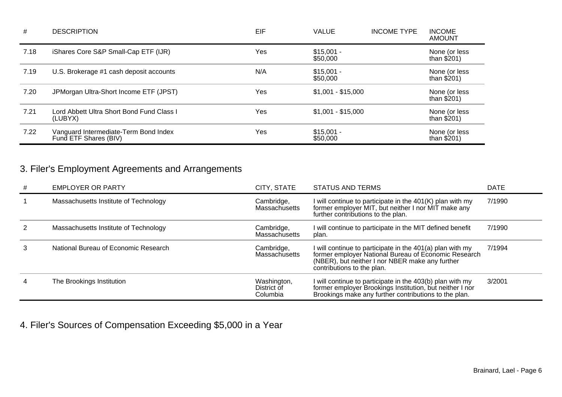| #    | <b>DESCRIPTION</b>                                             | EIF | <b>VALUE</b>            | <b>INCOME TYPE</b> | <b>INCOME</b><br><b>AMOUNT</b> |
|------|----------------------------------------------------------------|-----|-------------------------|--------------------|--------------------------------|
| 7.18 | iShares Core S&P Small-Cap ETF (IJR)                           | Yes | $$15,001 -$<br>\$50,000 |                    | None (or less<br>than $$201)$  |
| 7.19 | U.S. Brokerage #1 cash deposit accounts                        | N/A | $$15,001 -$<br>\$50,000 |                    | None (or less<br>than $$201)$  |
| 7.20 | JPMorgan Ultra-Short Income ETF (JPST)                         | Yes | $$1,001 - $15,000$      |                    | None (or less<br>than $$201)$  |
| 7.21 | Lord Abbett Ultra Short Bond Fund Class I<br>(LUBYX)           | Yes | $$1,001 - $15,000$      |                    | None (or less<br>than $$201)$  |
| 7.22 | Vanguard Intermediate-Term Bond Index<br>Fund ETF Shares (BIV) | Yes | $$15,001 -$<br>\$50,000 |                    | None (or less<br>than $$201)$  |

# 3. Filer's Employment Agreements and Arrangements

| # | <b>EMPLOYER OR PARTY</b>              | CITY, STATE                            | STATUS AND TERMS                                                                                                                                                                                   | <b>DATE</b> |
|---|---------------------------------------|----------------------------------------|----------------------------------------------------------------------------------------------------------------------------------------------------------------------------------------------------|-------------|
|   | Massachusetts Institute of Technology | Cambridge,<br>Massachusetts            | I will continue to participate in the 401(K) plan with my former employer MIT, but neither I nor MIT make any<br>further contributions to the plan.                                                | 7/1990      |
|   | Massachusetts Institute of Technology | Cambridge,<br><b>Massachusetts</b>     | I will continue to participate in the MIT defined benefit<br>plan.                                                                                                                                 | 7/1990      |
|   | National Bureau of Economic Research  | Cambridge,<br><b>Massachusetts</b>     | I will continue to participate in the 401(a) plan with my<br>former employer National Bureau of Economic Research<br>(NBER), but neither I nor NBER make any further<br>contributions to the plan. | 7/1994      |
|   | The Brookings Institution             | Washington,<br>District of<br>Columbia | I will continue to participate in the 403(b) plan with my<br>former employer Brookings Institution, but neither I nor<br>Brookings make any further contributions to the plan.                     | 3/2001      |

4. Filer's Sources of Compensation Exceeding \$5,000 in a Year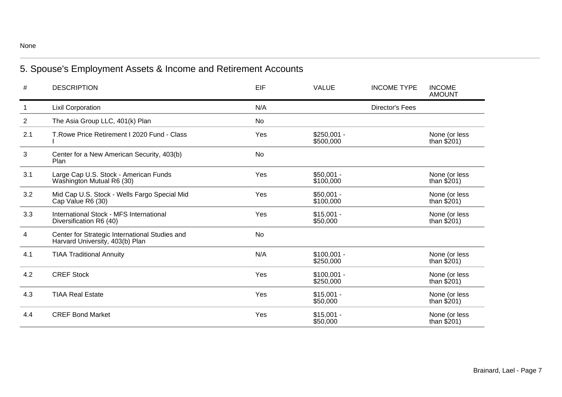# 5. Spouse's Employment Assets & Income and Retirement Accounts

| #   | <b>DESCRIPTION</b>                                                                | EIF       | <b>VALUE</b>              | <b>INCOME TYPE</b>     | <b>INCOME</b><br><b>AMOUNT</b> |
|-----|-----------------------------------------------------------------------------------|-----------|---------------------------|------------------------|--------------------------------|
| 1   | <b>Lixil Corporation</b>                                                          | N/A       |                           | <b>Director's Fees</b> |                                |
| 2   | The Asia Group LLC, 401(k) Plan                                                   | No        |                           |                        |                                |
| 2.1 | T. Rowe Price Retirement I 2020 Fund - Class                                      | Yes       | $$250,001 -$<br>\$500,000 |                        | None (or less<br>than $$201)$  |
| 3   | Center for a New American Security, 403(b)<br>Plan                                | <b>No</b> |                           |                        |                                |
| 3.1 | Large Cap U.S. Stock - American Funds<br>Washington Mutual R6 (30)                | Yes       | $$50,001 -$<br>\$100,000  |                        | None (or less<br>than $$201)$  |
| 3.2 | Mid Cap U.S. Stock - Wells Fargo Special Mid<br>Cap Value R6 (30)                 | Yes       | $$50,001 -$<br>\$100,000  |                        | None (or less<br>than $$201)$  |
| 3.3 | International Stock - MFS International<br>Diversification R6 (40)                | Yes       | $$15,001 -$<br>\$50,000   |                        | None (or less<br>than $$201)$  |
| 4   | Center for Strategic International Studies and<br>Harvard University, 403(b) Plan | <b>No</b> |                           |                        |                                |
| 4.1 | <b>TIAA Traditional Annuity</b>                                                   | N/A       | $$100,001 -$<br>\$250,000 |                        | None (or less<br>than $$201)$  |
| 4.2 | <b>CREF Stock</b>                                                                 | Yes       | $$100,001 -$<br>\$250,000 |                        | None (or less<br>than $$201)$  |
| 4.3 | <b>TIAA Real Estate</b>                                                           | Yes       | $$15,001 -$<br>\$50,000   |                        | None (or less<br>than $$201)$  |
| 4.4 | <b>CREF Bond Market</b>                                                           | Yes       | $$15,001 -$<br>\$50,000   |                        | None (or less<br>than $$201)$  |

None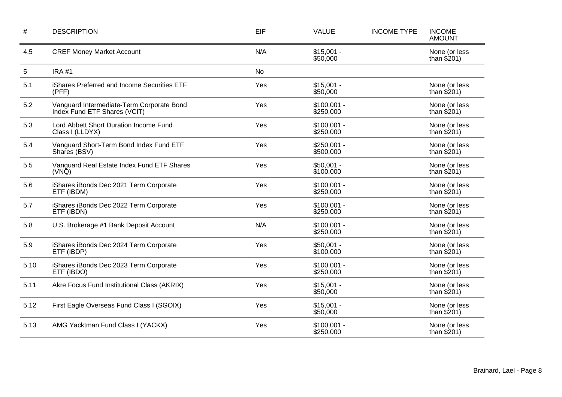| $\#$ | <b>DESCRIPTION</b>                                                        | EIF       | <b>VALUE</b>              | <b>INCOME TYPE</b> | <b>INCOME</b><br><b>AMOUNT</b> |
|------|---------------------------------------------------------------------------|-----------|---------------------------|--------------------|--------------------------------|
| 4.5  | <b>CREF Money Market Account</b>                                          | N/A       | $$15,001 -$<br>\$50,000   |                    | None (or less<br>than $$201)$  |
| 5    | <b>IRA #1</b>                                                             | <b>No</b> |                           |                    |                                |
| 5.1  | iShares Preferred and Income Securities ETF<br>(PFF)                      | Yes       | $$15,001 -$<br>\$50,000   |                    | None (or less<br>than $$201)$  |
| 5.2  | Vanguard Intermediate-Term Corporate Bond<br>Index Fund ETF Shares (VCIT) | Yes       | $$100,001 -$<br>\$250,000 |                    | None (or less<br>than $$201)$  |
| 5.3  | Lord Abbett Short Duration Income Fund<br>Class I (LLDYX)                 | Yes       | $$100,001 -$<br>\$250,000 |                    | None (or less<br>than $$201)$  |
| 5.4  | Vanguard Short-Term Bond Index Fund ETF<br>Shares (BSV)                   | Yes       | $$250,001 -$<br>\$500,000 |                    | None (or less<br>than $$201)$  |
| 5.5  | Vanguard Real Estate Index Fund ETF Shares<br>(VNQ)                       | Yes       | $$50,001 -$<br>\$100,000  |                    | None (or less<br>than $$201)$  |
| 5.6  | iShares iBonds Dec 2021 Term Corporate<br>ETF (IBDM)                      | Yes       | $$100,001 -$<br>\$250,000 |                    | None (or less<br>than $$201)$  |
| 5.7  | iShares iBonds Dec 2022 Term Corporate<br>ETF (IBDN)                      | Yes       | $$100,001 -$<br>\$250,000 |                    | None (or less<br>than $$201)$  |
| 5.8  | U.S. Brokerage #1 Bank Deposit Account                                    | N/A       | $$100,001 -$<br>\$250,000 |                    | None (or less<br>than $$201)$  |
| 5.9  | iShares iBonds Dec 2024 Term Corporate<br>ETF (IBDP)                      | Yes       | $$50,001 -$<br>\$100,000  |                    | None (or less<br>than $$201)$  |
| 5.10 | iShares iBonds Dec 2023 Term Corporate<br>ETF (IBDO)                      | Yes       | $$100,001 -$<br>\$250,000 |                    | None (or less<br>than $$201)$  |
| 5.11 | Akre Focus Fund Institutional Class (AKRIX)                               | Yes       | $$15,001 -$<br>\$50,000   |                    | None (or less<br>than \$201)   |
| 5.12 | First Eagle Overseas Fund Class I (SGOIX)                                 | Yes       | $$15,001 -$<br>\$50,000   |                    | None (or less<br>than $$201)$  |
| 5.13 | AMG Yacktman Fund Class I (YACKX)                                         | Yes       | $$100,001 -$<br>\$250,000 |                    | None (or less<br>than $$201)$  |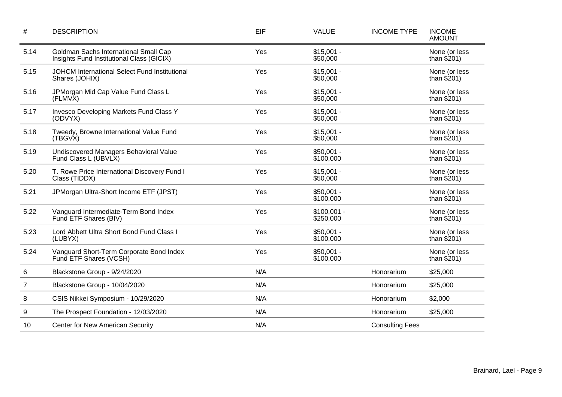| #              | <b>DESCRIPTION</b>                                                                 | EIF | <b>VALUE</b>              | <b>INCOME TYPE</b>     | <b>INCOME</b><br><b>AMOUNT</b> |
|----------------|------------------------------------------------------------------------------------|-----|---------------------------|------------------------|--------------------------------|
| 5.14           | Goldman Sachs International Small Cap<br>Insights Fund Institutional Class (GICIX) | Yes | $$15,001 -$<br>\$50,000   |                        | None (or less<br>than $$201)$  |
| 5.15           | JOHCM International Select Fund Institutional<br>Shares (JOHIX)                    | Yes | $$15,001 -$<br>\$50,000   |                        | None (or less<br>than $$201)$  |
| 5.16           | JPMorgan Mid Cap Value Fund Class L<br>(FLMVX)                                     | Yes | $$15,001 -$<br>\$50,000   |                        | None (or less<br>than $$201)$  |
| 5.17           | Invesco Developing Markets Fund Class Y<br>(ODVYX)                                 | Yes | $$15,001 -$<br>\$50,000   |                        | None (or less<br>than $$201)$  |
| 5.18           | Tweedy, Browne International Value Fund<br>(TBGVX)                                 | Yes | $$15,001 -$<br>\$50,000   |                        | None (or less<br>than $$201)$  |
| 5.19           | Undiscovered Managers Behavioral Value<br>Fund Class L (UBVLX)                     | Yes | $$50,001 -$<br>\$100,000  |                        | None (or less<br>than $$201$ ) |
| 5.20           | T. Rowe Price International Discovery Fund I<br>Class (TIDDX)                      | Yes | $$15,001 -$<br>\$50,000   |                        | None (or less<br>than $$201)$  |
| 5.21           | JPMorgan Ultra-Short Income ETF (JPST)                                             | Yes | $$50,001 -$<br>\$100,000  |                        | None (or less<br>than $$201)$  |
| 5.22           | Vanguard Intermediate-Term Bond Index<br>Fund ETF Shares (BIV)                     | Yes | $$100,001 -$<br>\$250,000 |                        | None (or less<br>than $$201)$  |
| 5.23           | Lord Abbett Ultra Short Bond Fund Class I<br>(LUBYX)                               | Yes | $$50,001 -$<br>\$100,000  |                        | None (or less<br>than $$201)$  |
| 5.24           | Vanguard Short-Term Corporate Bond Index<br>Fund ETF Shares (VCSH)                 | Yes | $$50,001 -$<br>\$100,000  |                        | None (or less<br>than $$201)$  |
| 6              | Blackstone Group - 9/24/2020                                                       | N/A |                           | Honorarium             | \$25,000                       |
| $\overline{7}$ | Blackstone Group - 10/04/2020                                                      | N/A |                           | Honorarium             | \$25,000                       |
| 8              | CSIS Nikkei Symposium - 10/29/2020                                                 | N/A |                           | Honorarium             | \$2,000                        |
| 9              | The Prospect Foundation - 12/03/2020                                               | N/A |                           | Honorarium             | \$25,000                       |
| 10             | <b>Center for New American Security</b>                                            | N/A |                           | <b>Consulting Fees</b> |                                |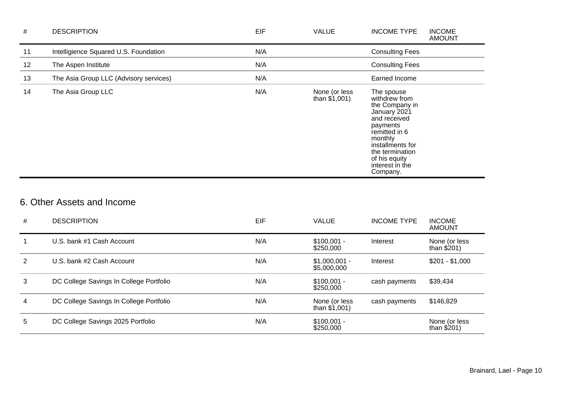| #  | <b>DESCRIPTION</b>                     | EIF | <b>VALUE</b>                     | <b>INCOME TYPE</b>                                                                                                                                                                                           | <b>INCOME</b><br><b>AMOUNT</b> |
|----|----------------------------------------|-----|----------------------------------|--------------------------------------------------------------------------------------------------------------------------------------------------------------------------------------------------------------|--------------------------------|
| 11 | Intelligience Squared U.S. Foundation  | N/A |                                  | <b>Consulting Fees</b>                                                                                                                                                                                       |                                |
| 12 | The Aspen Institute                    | N/A |                                  | <b>Consulting Fees</b>                                                                                                                                                                                       |                                |
| 13 | The Asia Group LLC (Advisory services) | N/A |                                  | Earned Income                                                                                                                                                                                                |                                |
| 14 | The Asia Group LLC                     | N/A | None (or less<br>than $$1,001$ ) | The spouse<br>withdrew from<br>the Company in<br>January 2021<br>and received<br>payments<br>remitted in 6<br>monthly<br>installments for<br>the termination<br>of his equity<br>interest in the<br>Company. |                                |

## 6. Other Assets and Income

| #              | <b>DESCRIPTION</b>                      | EIF | <b>VALUE</b>                     | <b>INCOME TYPE</b> | <b>INCOME</b><br><b>AMOUNT</b> |
|----------------|-----------------------------------------|-----|----------------------------------|--------------------|--------------------------------|
|                | U.S. bank #1 Cash Account               | N/A | $$100,001 -$<br>\$250,000        | Interest           | None (or less<br>than $$201)$  |
| 2              | U.S. bank #2 Cash Account               | N/A | $$1,000,001 -$<br>\$5,000,000    | Interest           | $$201 - $1,000$                |
| 3              | DC College Savings In College Portfolio | N/A | $$100,001 -$<br>\$250,000        | cash payments      | \$39,434                       |
| $\overline{4}$ | DC College Savings In College Portfolio | N/A | None (or less<br>than $$1,001$ ) | cash payments      | \$146,829                      |
| 5              | DC College Savings 2025 Portfolio       | N/A | $$100,001 -$<br>\$250,000        |                    | None (or less<br>than $$201)$  |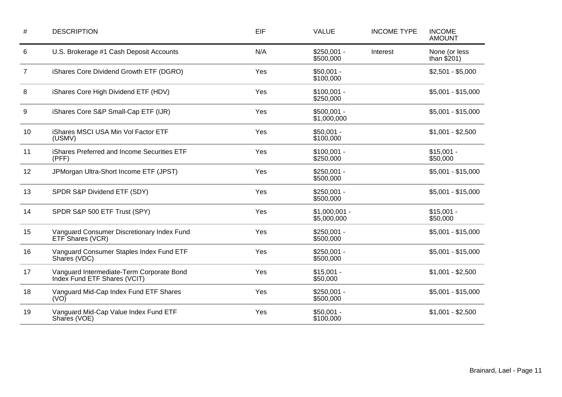| $\#$ | <b>DESCRIPTION</b>                                                        | EIF | <b>VALUE</b>                  | <b>INCOME TYPE</b> | <b>INCOME</b><br><b>AMOUNT</b> |
|------|---------------------------------------------------------------------------|-----|-------------------------------|--------------------|--------------------------------|
| 6    | U.S. Brokerage #1 Cash Deposit Accounts                                   | N/A | $$250,001 -$<br>\$500,000     | Interest           | None (or less<br>than $$201)$  |
| 7    | iShares Core Dividend Growth ETF (DGRO)                                   | Yes | $$50,001 -$<br>\$100,000      |                    | $$2,501 - $5,000$              |
| 8    | iShares Core High Dividend ETF (HDV)                                      | Yes | $$100,001 -$<br>\$250,000     |                    | $$5,001 - $15,000$             |
| 9    | iShares Core S&P Small-Cap ETF (IJR)                                      | Yes | $$500,001 -$<br>\$1,000,000   |                    | $$5,001 - $15,000$             |
| 10   | iShares MSCI USA Min Vol Factor ETF<br>(USMV)                             | Yes | $$50,001 -$<br>\$100,000      |                    | $$1,001 - $2,500$              |
| 11   | iShares Preferred and Income Securities ETF<br>(PFF)                      | Yes | $$100,001 -$<br>\$250,000     |                    | $$15,001 -$<br>\$50,000        |
| 12   | JPMorgan Ultra-Short Income ETF (JPST)                                    | Yes | $$250,001 -$<br>\$500,000     |                    | $$5,001 - $15,000$             |
| 13   | SPDR S&P Dividend ETF (SDY)                                               | Yes | $$250,001 -$<br>\$500,000     |                    | $$5,001 - $15,000$             |
| 14   | SPDR S&P 500 ETF Trust (SPY)                                              | Yes | $$1,000,001 -$<br>\$5,000,000 |                    | $$15,001 -$<br>\$50,000        |
| 15   | Vanguard Consumer Discretionary Index Fund<br>ETF Shares (VCR)            | Yes | $$250,001 -$<br>\$500,000     |                    | $$5,001 - $15,000$             |
| 16   | Vanguard Consumer Staples Index Fund ETF<br>Shares (VDC)                  | Yes | $$250,001 -$<br>\$500,000     |                    | $$5,001 - $15,000$             |
| 17   | Vanguard Intermediate-Term Corporate Bond<br>Index Fund ETF Shares (VCIT) | Yes | $$15,001 -$<br>\$50,000       |                    | $$1,001 - $2,500$              |
| 18   | Vanguard Mid-Cap Index Fund ETF Shares<br>(VO)                            | Yes | $$250,001 -$<br>\$500,000     |                    | $$5,001 - $15,000$             |
| 19   | Vanguard Mid-Cap Value Index Fund ETF<br>Shares (VOE)                     | Yes | $$50,001 -$<br>\$100,000      |                    | $$1,001 - $2,500$              |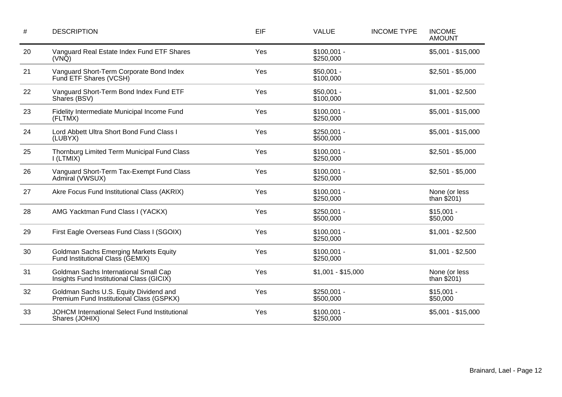| #  | <b>DESCRIPTION</b>                                                                 | EIF | <b>VALUE</b>              | <b>INCOME TYPE</b> | <b>INCOME</b><br><b>AMOUNT</b> |
|----|------------------------------------------------------------------------------------|-----|---------------------------|--------------------|--------------------------------|
| 20 | Vanguard Real Estate Index Fund ETF Shares<br>$(VN\bar{Q})$                        | Yes | $$100,001 -$<br>\$250,000 |                    | $$5,001 - $15,000$             |
| 21 | Vanguard Short-Term Corporate Bond Index<br>Fund ETF Shares (VCSH)                 | Yes | $$50,001 -$<br>\$100,000  |                    | $$2,501 - $5,000$              |
| 22 | Vanguard Short-Term Bond Index Fund ETF<br>Shares (BSV)                            | Yes | $$50,001 -$<br>\$100,000  |                    | $$1,001 - $2,500$              |
| 23 | Fidelity Intermediate Municipal Income Fund<br>(FLTMX)                             | Yes | $$100,001 -$<br>\$250,000 |                    | $$5,001 - $15,000$             |
| 24 | Lord Abbett Ultra Short Bond Fund Class I<br>(LUBYX)                               | Yes | $$250,001 -$<br>\$500,000 |                    | $$5,001 - $15,000$             |
| 25 | Thornburg Limited Term Municipal Fund Class<br>I(LTMIX)                            | Yes | $$100,001 -$<br>\$250,000 |                    | $$2,501 - $5,000$              |
| 26 | Vanguard Short-Term Tax-Exempt Fund Class<br>Admiral (VWSUX)                       | Yes | $$100,001 -$<br>\$250,000 |                    | $$2,501 - $5,000$              |
| 27 | Akre Focus Fund Institutional Class (AKRIX)                                        | Yes | $$100,001 -$<br>\$250,000 |                    | None (or less<br>than $$201)$  |
| 28 | AMG Yacktman Fund Class I (YACKX)                                                  | Yes | $$250,001 -$<br>\$500,000 |                    | $$15,001 -$<br>\$50,000        |
| 29 | First Eagle Overseas Fund Class I (SGOIX)                                          | Yes | $$100,001 -$<br>\$250,000 |                    | $$1,001 - $2,500$              |
| 30 | <b>Goldman Sachs Emerging Markets Equity</b><br>Fund Institutional Class (GEMIX)   | Yes | $$100,001 -$<br>\$250,000 |                    | $$1,001 - $2,500$              |
| 31 | Goldman Sachs International Small Cap<br>Insights Fund Institutional Class (GICIX) | Yes | $$1,001 - $15,000$        |                    | None (or less<br>than $$201)$  |
| 32 | Goldman Sachs U.S. Equity Dividend and<br>Premium Fund Institutional Class (GSPKX) | Yes | $$250,001 -$<br>\$500,000 |                    | $$15,001 -$<br>\$50,000        |
| 33 | JOHCM International Select Fund Institutional<br>Shares (JOHIX)                    | Yes | $$100,001 -$<br>\$250,000 |                    | $$5,001 - $15,000$             |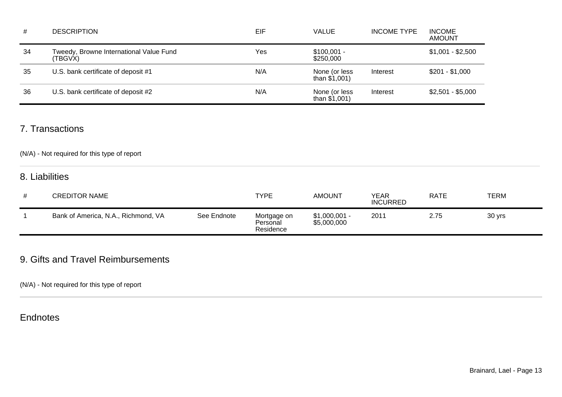| #  | <b>DESCRIPTION</b>                                 | EIF | <b>VALUE</b>                     | <b>INCOME TYPE</b> | <b>INCOME</b><br><b>AMOUNT</b> |
|----|----------------------------------------------------|-----|----------------------------------|--------------------|--------------------------------|
| 34 | Tweedy, Browne International Value Fund<br>'TBGVX) | Yes | $$100,001 -$<br>\$250,000        |                    | $$1,001 - $2,500$              |
| 35 | U.S. bank certificate of deposit #1                | N/A | None (or less<br>than $$1,001$ ) | Interest           | $$201 - $1,000$                |
| 36 | U.S. bank certificate of deposit #2                | N/A | None (or less<br>than $$1,001$ ) | Interest           | $$2,501 - $5,000$              |

### 7. Transactions

### (N/A) - Not required for this type of report

### 8. Liabilities

| # | <b>CREDITOR NAME</b>                |             | <b>TYPE</b>                          | <b>AMOUNT</b>                 | YEAR<br><b>INCURRED</b> | <b>RATE</b> | TERM   |
|---|-------------------------------------|-------------|--------------------------------------|-------------------------------|-------------------------|-------------|--------|
|   | Bank of America, N.A., Richmond, VA | See Endnote | Mortgage on<br>Personal<br>Residence | $$1,000,001 -$<br>\$5,000,000 | 201'                    | 2.75        | 30 yrs |

## 9. Gifts and Travel Reimbursements

(N/A) - Not required for this type of report

## **Endnotes**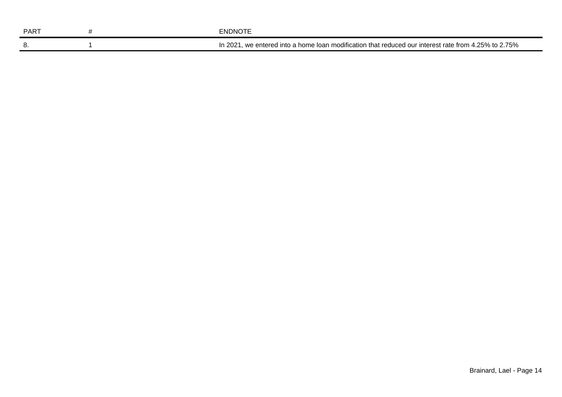| <b>PART</b> | ENDNOTE                                                                                                 |
|-------------|---------------------------------------------------------------------------------------------------------|
| о.          | , we entered into a home loan modification that reduced our interest rate from 4.25% to 2.75%<br>In 202 |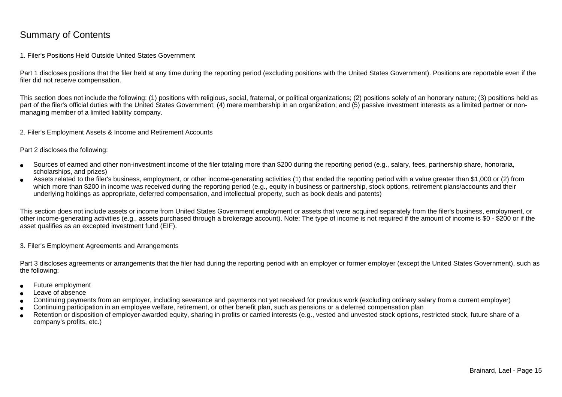### Summary of Contents

#### 1. Filer's Positions Held Outside United States Government

Part 1 discloses positions that the filer held at any time during the reporting period (excluding positions with the United States Government). Positions are reportable even if the filer did not receive compensation.

This section does not include the following: (1) positions with religious, social, fraternal, or political organizations; (2) positions solely of an honorary nature; (3) positions held aspart of the filer's official duties with the United States Government; (4) mere membership in an organization; and (5) passive investment interests as a limited partner or nonmanaging member of a limited liability company.

2. Filer's Employment Assets & Income and Retirement Accounts

Part 2 discloses the following:

- ●Sources of earned and other non-investment income of the filer totaling more than \$200 during the reporting period (e.g., salary, fees, partnership share, honoraria,scholarships, and prizes)
- ● Assets related to the filer's business, employment, or other income-generating activities (1) that ended the reporting period with a value greater than \$1,000 or (2) fromwhich more than \$200 in income was received during the reporting period (e.g., equity in business or partnership, stock options, retirement plans/accounts and their underlying holdings as appropriate, deferred compensation, and intellectual property, such as book deals and patents)

This section does not include assets or income from United States Government employment or assets that were acquired separately from the filer's business, employment, or other income-generating activities (e.g., assets purchased through a brokerage account). Note: The type of income is not required if the amount of income is \$0 - \$200 or if theasset qualifies as an excepted investment fund (EIF).

3. Filer's Employment Agreements and Arrangements

Part 3 discloses agreements or arrangements that the filer had during the reporting period with an employer or former employer (except the United States Government), such as the following:

- ●Future employment
- ●Leave of absence
- ●Continuing payments from an employer, including severance and payments not yet received for previous work (excluding ordinary salary from a current employer)
- ●Continuing participation in an employee welfare, retirement, or other benefit plan, such as pensions or a deferred compensation plan
- ● Retention or disposition of employer-awarded equity, sharing in profits or carried interests (e.g., vested and unvested stock options, restricted stock, future share of acompany's profits, etc.)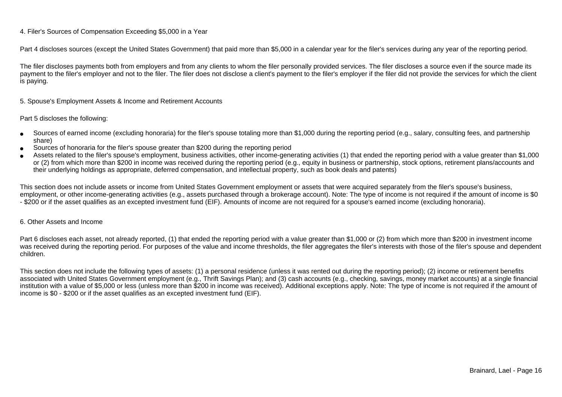### 4. Filer's Sources of Compensation Exceeding \$5,000 in a Year

Part 4 discloses sources (except the United States Government) that paid more than \$5,000 in a calendar year for the filer's services during any year of the reporting period.

The filer discloses payments both from employers and from any clients to whom the filer personally provided services. The filer discloses a source even if the source made itspayment to the filer's employer and not to the filer. The filer does not disclose a client's payment to the filer's employer if the filer did not provide the services for which the client is paying.

5. Spouse's Employment Assets & Income and Retirement Accounts

#### Part 5 discloses the following:

- ●Sources of earned income (excluding honoraria) for the filer's spouse totaling more than \$1,000 during the reporting period (e.g., salary, consulting fees, and partnershipshare)
- ●Sources of honoraria for the filer's spouse greater than \$200 during the reporting period
- ● Assets related to the filer's spouse's employment, business activities, other income-generating activities (1) that ended the reporting period with a value greater than \$1,000or (2) from which more than \$200 in income was received during the reporting period (e.g., equity in business or partnership, stock options, retirement plans/accounts and their underlying holdings as appropriate, deferred compensation, and intellectual property, such as book deals and patents)

This section does not include assets or income from United States Government employment or assets that were acquired separately from the filer's spouse's business,employment, or other income-generating activities (e.g., assets purchased through a brokerage account). Note: The type of income is not required if the amount of income is \$0 - \$200 or if the asset qualifies as an excepted investment fund (EIF). Amounts of income are not required for a spouse's earned income (excluding honoraria).

#### 6. Other Assets and Income

Part 6 discloses each asset, not already reported, (1) that ended the reporting period with a value greater than \$1,000 or (2) from which more than \$200 in investment income was received during the reporting period. For purposes of the value and income thresholds, the filer aggregates the filer's interests with those of the filer's spouse and dependentchildren.

This section does not include the following types of assets: (1) a personal residence (unless it was rented out during the reporting period); (2) income or retirement benefits associated with United States Government employment (e.g., Thrift Savings Plan); and (3) cash accounts (e.g., checking, savings, money market accounts) at a single financial institution with a value of \$5,000 or less (unless more than \$200 in income was received). Additional exceptions apply. Note: The type of income is not required if the amount ofincome is \$0 - \$200 or if the asset qualifies as an excepted investment fund (EIF).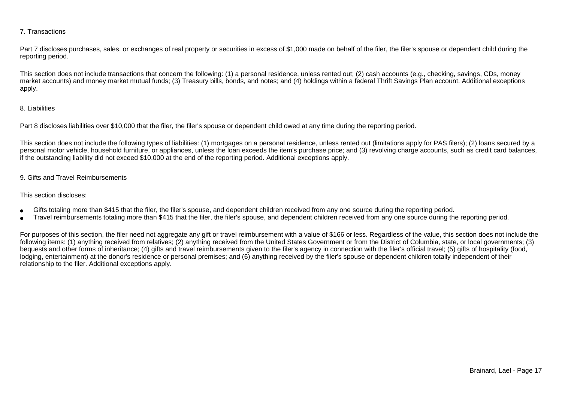### 7. Transactions

Part 7 discloses purchases, sales, or exchanges of real property or securities in excess of \$1,000 made on behalf of the filer, the filer's spouse or dependent child during the reporting period.

This section does not include transactions that concern the following: (1) a personal residence, unless rented out; (2) cash accounts (e.g., checking, savings, CDs, money market accounts) and money market mutual funds; (3) Treasury bills, bonds, and notes; and (4) holdings within a federal Thrift Savings Plan account. Additional exceptionsapply.

### 8. Liabilities

Part 8 discloses liabilities over \$10,000 that the filer, the filer's spouse or dependent child owed at any time during the reporting period.

This section does not include the following types of liabilities: (1) mortgages on a personal residence, unless rented out (limitations apply for PAS filers); (2) loans secured by a personal motor vehicle, household furniture, or appliances, unless the loan exceeds the item's purchase price; and (3) revolving charge accounts, such as credit card balances,if the outstanding liability did not exceed \$10,000 at the end of the reporting period. Additional exceptions apply.

### 9. Gifts and Travel Reimbursements

#### This section discloses:

- ●Gifts totaling more than \$415 that the filer, the filer's spouse, and dependent children received from any one source during the reporting period.
- ●Travel reimbursements totaling more than \$415 that the filer, the filer's spouse, and dependent children received from any one source during the reporting period.

For purposes of this section, the filer need not aggregate any gift or travel reimbursement with a value of \$166 or less. Regardless of the value, this section does not include the following items: (1) anything received from relatives; (2) anything received from the United States Government or from the District of Columbia, state, or local governments; (3)bequests and other forms of inheritance; (4) gifts and travel reimbursements given to the filer's agency in connection with the filer's official travel; (5) gifts of hospitality (food,lodging, entertainment) at the donor's residence or personal premises; and (6) anything received by the filer's spouse or dependent children totally independent of theirrelationship to the filer. Additional exceptions apply.